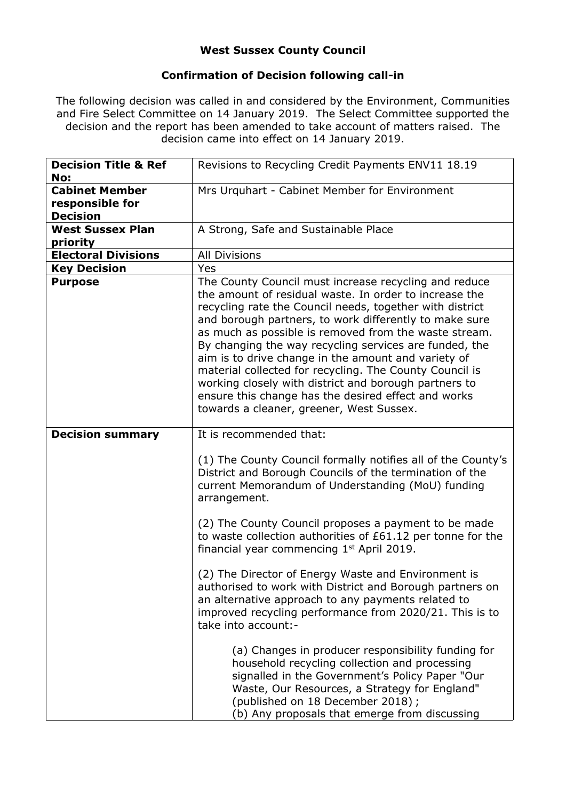## **West Sussex County Council**

## **Confirmation of Decision following call-in**

The following decision was called in and considered by the Environment, Communities and Fire Select Committee on 14 January 2019. The Select Committee supported the decision and the report has been amended to take account of matters raised. The decision came into effect on 14 January 2019.

| <b>Decision Title &amp; Ref</b><br>No:                      | Revisions to Recycling Credit Payments ENV11 18.19                                                                                                                                                                                                                                                                                                                                                                                                                                                                                                                                                                                     |
|-------------------------------------------------------------|----------------------------------------------------------------------------------------------------------------------------------------------------------------------------------------------------------------------------------------------------------------------------------------------------------------------------------------------------------------------------------------------------------------------------------------------------------------------------------------------------------------------------------------------------------------------------------------------------------------------------------------|
| <b>Cabinet Member</b><br>responsible for<br><b>Decision</b> | Mrs Urquhart - Cabinet Member for Environment                                                                                                                                                                                                                                                                                                                                                                                                                                                                                                                                                                                          |
| <b>West Sussex Plan</b><br>priority                         | A Strong, Safe and Sustainable Place                                                                                                                                                                                                                                                                                                                                                                                                                                                                                                                                                                                                   |
| <b>Electoral Divisions</b>                                  | <b>All Divisions</b>                                                                                                                                                                                                                                                                                                                                                                                                                                                                                                                                                                                                                   |
| <b>Key Decision</b>                                         | Yes                                                                                                                                                                                                                                                                                                                                                                                                                                                                                                                                                                                                                                    |
| <b>Purpose</b>                                              | The County Council must increase recycling and reduce<br>the amount of residual waste. In order to increase the<br>recycling rate the Council needs, together with district<br>and borough partners, to work differently to make sure<br>as much as possible is removed from the waste stream.<br>By changing the way recycling services are funded, the<br>aim is to drive change in the amount and variety of<br>material collected for recycling. The County Council is<br>working closely with district and borough partners to<br>ensure this change has the desired effect and works<br>towards a cleaner, greener, West Sussex. |
| <b>Decision summary</b>                                     | It is recommended that:                                                                                                                                                                                                                                                                                                                                                                                                                                                                                                                                                                                                                |
|                                                             | (1) The County Council formally notifies all of the County's<br>District and Borough Councils of the termination of the<br>current Memorandum of Understanding (MoU) funding<br>arrangement.                                                                                                                                                                                                                                                                                                                                                                                                                                           |
|                                                             | (2) The County Council proposes a payment to be made<br>to waste collection authorities of £61.12 per tonne for the<br>financial year commencing 1 <sup>st</sup> April 2019.                                                                                                                                                                                                                                                                                                                                                                                                                                                           |
|                                                             | (2) The Director of Energy Waste and Environment is<br>authorised to work with District and Borough partners on<br>an alternative approach to any payments related to<br>improved recycling performance from 2020/21. This is to<br>take into account:-                                                                                                                                                                                                                                                                                                                                                                                |
|                                                             | (a) Changes in producer responsibility funding for<br>household recycling collection and processing<br>signalled in the Government's Policy Paper "Our<br>Waste, Our Resources, a Strategy for England"<br>(published on 18 December 2018);<br>(b) Any proposals that emerge from discussing                                                                                                                                                                                                                                                                                                                                           |